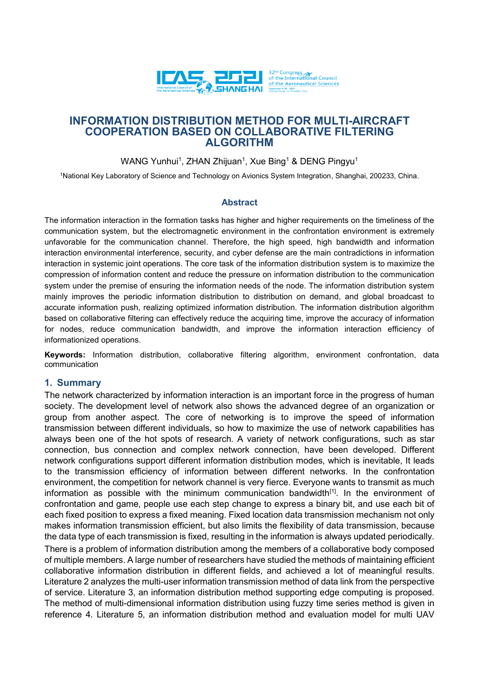

# **INFORMATION DISTRIBUTION METHOD FOR MULTI-AIRCRAFT COOPERATION BASED ON COLLABORATIVE FILTERING ALGORITHM**

WANG Yunhui<sup>1</sup>, ZHAN Zhijuan<sup>1</sup>, Xue Bing<sup>1</sup> & DENG Pingyu<sup>1</sup>

<sup>1</sup>National Key Laboratory of Science and Technology on Avionics System Integration, Shanghai, 200233, China.

### **Abstract**

The information interaction in the formation tasks has higher and higher requirements on the timeliness of the communication system, but the electromagnetic environment in the confrontation environment is extremely unfavorable for the communication channel. Therefore, the high speed, high bandwidth and information interaction environmental interference, security, and cyber defense are the main contradictions in information interaction in systemic joint operations. The core task of the information distribution system is to maximize the compression of information content and reduce the pressure on information distribution to the communication system under the premise of ensuring the information needs of the node. The information distribution system mainly improves the periodic information distribution to distribution on demand, and global broadcast to accurate information push, realizing optimized information distribution. The information distribution algorithm based on collaborative filtering can effectively reduce the acquiring time, improve the accuracy of information for nodes, reduce communication bandwidth, and improve the information interaction efficiency of informationized operations.

**Keywords:** Information distribution, collaborative filtering algorithm, environment confrontation, data communication

### **1. Summary**

The network characterized by information interaction is an important force in the progress of human society. The development level of network also shows the advanced degree of an organization or group from another aspect. The core of networking is to improve the speed of information transmission between different individuals, so how to maximize the use of network capabilities has always been one of the hot spots of research. A variety of network configurations, such as star connection, bus connection and complex network connection, have been developed. Different network configurations support different information distribution modes, which is inevitable, It leads to the transmission efficiency of information between different networks. In the confrontation environment, the competition for network channel is very fierce. Everyone wants to transmit as much information as possible with the minimum communication bandwidth $[1]$ . In the environment of confrontation and game, people use each step change to express a binary bit, and use each bit of each fixed position to express a fixed meaning. Fixed location data transmission mechanism not only makes information transmission efficient, but also limits the flexibility of data transmission, because the data type of each transmission is fixed, resulting in the information is always updated periodically. There is a problem of information distribution among the members of a collaborative body composed of multiple members. A large number of researchers have studied the methods of maintaining efficient collaborative information distribution in different fields, and achieved a lot of meaningful results. Literature 2 analyzes the multi-user information transmission method of data link from the perspective of service. Literature 3, an information distribution method supporting edge computing is proposed. The method of multi-dimensional information distribution using fuzzy time series method is given in reference 4. Literature 5, an information distribution method and evaluation model for multi UAV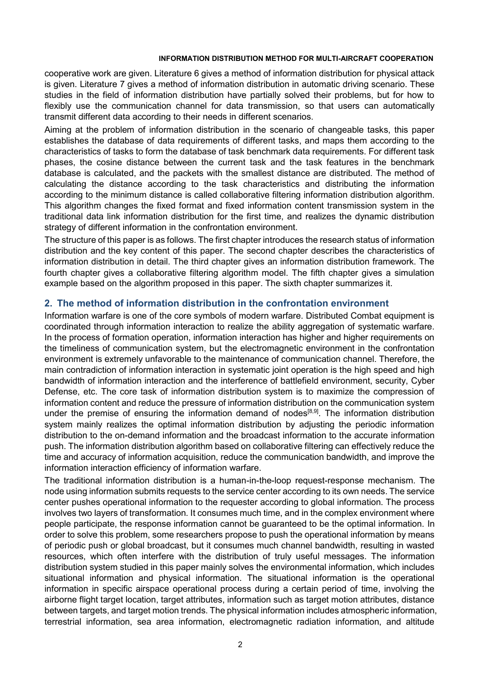cooperative work are given. Literature 6 gives a method of information distribution for physical attack is given. Literature 7 gives a method of information distribution in automatic driving scenario. These studies in the field of information distribution have partially solved their problems, but for how to flexibly use the communication channel for data transmission, so that users can automatically transmit different data according to their needs in different scenarios.

Aiming at the problem of information distribution in the scenario of changeable tasks, this paper establishes the database of data requirements of different tasks, and maps them according to the characteristics of tasks to form the database of task benchmark data requirements. For different task phases, the cosine distance between the current task and the task features in the benchmark database is calculated, and the packets with the smallest distance are distributed. The method of calculating the distance according to the task characteristics and distributing the information according to the minimum distance is called collaborative filtering information distribution algorithm. This algorithm changes the fixed format and fixed information content transmission system in the traditional data link information distribution for the first time, and realizes the dynamic distribution strategy of different information in the confrontation environment.

The structure of this paper is as follows. The first chapter introduces the research status of information distribution and the key content of this paper. The second chapter describes the characteristics of information distribution in detail. The third chapter gives an information distribution framework. The fourth chapter gives a collaborative filtering algorithm model. The fifth chapter gives a simulation example based on the algorithm proposed in this paper. The sixth chapter summarizes it.

## **2. The method of information distribution in the confrontation environment**

Information warfare is one of the core symbols of modern warfare. Distributed Combat equipment is coordinated through information interaction to realize the ability aggregation of systematic warfare. In the process of formation operation, information interaction has higher and higher requirements on the timeliness of communication system, but the electromagnetic environment in the confrontation environment is extremely unfavorable to the maintenance of communication channel. Therefore, the main contradiction of information interaction in systematic joint operation is the high speed and high bandwidth of information interaction and the interference of battlefield environment, security, Cyber Defense, etc. The core task of information distribution system is to maximize the compression of information content and reduce the pressure of information distribution on the communication system under the premise of ensuring the information demand of nodes<sup>[8,9]</sup>. The information distribution system mainly realizes the optimal information distribution by adjusting the periodic information distribution to the on-demand information and the broadcast information to the accurate information push. The information distribution algorithm based on collaborative filtering can effectively reduce the time and accuracy of information acquisition, reduce the communication bandwidth, and improve the information interaction efficiency of information warfare.

The traditional information distribution is a human-in-the-loop request-response mechanism. The node using information submits requests to the service center according to its own needs. The service center pushes operational information to the requester according to global information. The process involves two layers of transformation. It consumes much time, and in the complex environment where people participate, the response information cannot be guaranteed to be the optimal information. In order to solve this problem, some researchers propose to push the operational information by means of periodic push or global broadcast, but it consumes much channel bandwidth, resulting in wasted resources, which often interfere with the distribution of truly useful messages. The information distribution system studied in this paper mainly solves the environmental information, which includes situational information and physical information. The situational information is the operational information in specific airspace operational process during a certain period of time, involving the airborne flight target location, target attributes, information such as target motion attributes, distance between targets, and target motion trends. The physical information includes atmospheric information, terrestrial information, sea area information, electromagnetic radiation information, and altitude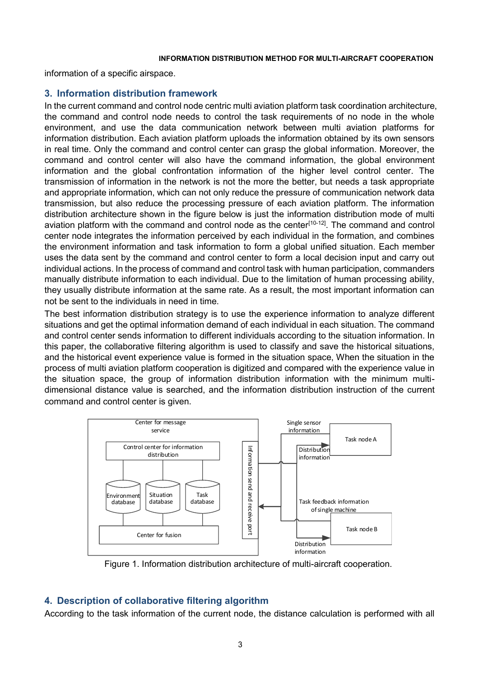information of a specific airspace.

## **3. Information distribution framework**

In the current command and control node centric multi aviation platform task coordination architecture, the command and control node needs to control the task requirements of no node in the whole environment, and use the data communication network between multi aviation platforms for information distribution. Each aviation platform uploads the information obtained by its own sensors in real time. Only the command and control center can grasp the global information. Moreover, the command and control center will also have the command information, the global environment information and the global confrontation information of the higher level control center. The transmission of information in the network is not the more the better, but needs a task appropriate and appropriate information, which can not only reduce the pressure of communication network data transmission, but also reduce the processing pressure of each aviation platform. The information distribution architecture shown in the figure below is just the information distribution mode of multi aviation platform with the command and control node as the center<sup>[10-12]</sup>. The command and control center node integrates the information perceived by each individual in the formation, and combines the environment information and task information to form a global unified situation. Each member uses the data sent by the command and control center to form a local decision input and carry out individual actions. In the process of command and control task with human participation, commanders manually distribute information to each individual. Due to the limitation of human processing ability, they usually distribute information at the same rate. As a result, the most important information can not be sent to the individuals in need in time.

The best information distribution strategy is to use the experience information to analyze different situations and get the optimal information demand of each individual in each situation. The command and control center sends information to different individuals according to the situation information. In this paper, the collaborative filtering algorithm is used to classify and save the historical situations, and the historical event experience value is formed in the situation space, When the situation in the process of multi aviation platform cooperation is digitized and compared with the experience value in the situation space, the group of information distribution information with the minimum multidimensional distance value is searched, and the information distribution instruction of the current command and control center is given.



Figure 1. Information distribution architecture of multi-aircraft cooperation.

# **4. Description of collaborative filtering algorithm**

According to the task information of the current node, the distance calculation is performed with all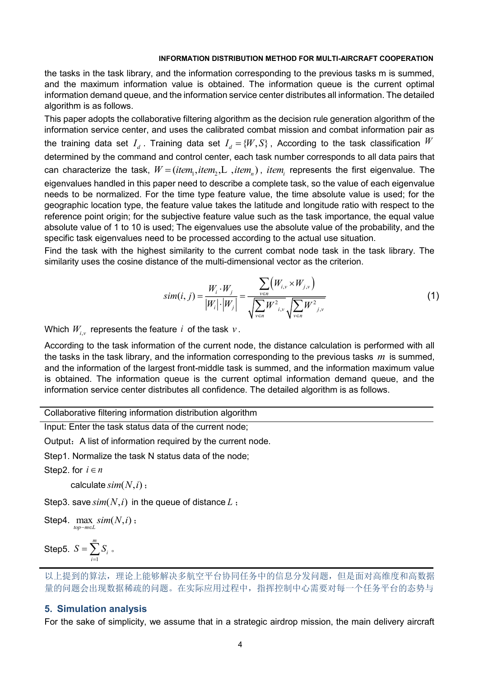the tasks in the task library, and the information corresponding to the previous tasks m is summed, and the maximum information value is obtained. The information queue is the current optimal information demand queue, and the information service center distributes all information. The detailed algorithm is as follows.

This paper adopts the collaborative filtering algorithm as the decision rule generation algorithm of the information service center, and uses the calibrated combat mission and combat information pair as the training data set  $I_d$  . Training data set  $I_d = \{W,S\}$  , According to the task classification  $W$ determined by the command and control center, each task number corresponds to all data pairs that can characterize the task,  $W\!=\!(item_{\!1}, item_{\!2},\!L\,$  ,*ite* $m_{\!n})$  *, ite* $m_{\!i}$  represents the first eigenvalue. The eigenvalues handled in this paper need to describe a complete task, so the value of each eigenvalue needs to be normalized. For the time type feature value, the time absolute value is used; for the geographic location type, the feature value takes the latitude and longitude ratio with respect to the reference point origin; for the subjective feature value such as the task importance, the equal value absolute value of 1 to 10 is used; The eigenvalues use the absolute value of the probability, and the specific task eigenvalues need to be processed according to the actual use situation.

Find the task with the highest similarity to the current combat node task in the task library. The similarity uses the cosine distance of the multi-dimensional vector as the criterion.

$$
sim(i, j) = \frac{W_i \cdot W_j}{|W_i| \cdot |W_j|} = \frac{\sum_{v \in n} (W_{i,v} \times W_{j,v})}{\sqrt{\sum_{v \in n} W_{i,v}^2} \sqrt{\sum_{v \in n} W_{j,v}^2}}
$$
(1)

Which  $W_{_{l,\nu}}$  represents the feature  $\it i$  of the task  $\rm \nu$  .

According to the task information of the current node, the distance calculation is performed with all the tasks in the task library, and the information corresponding to the previous tasks *m* is summed, and the information of the largest front-middle task is summed, and the information maximum value is obtained. The information queue is the current optimal information demand queue, and the information service center distributes all confidence. The detailed algorithm is as follows.

Collaborative filtering information distribution algorithm

Input: Enter the task status data of the current node;

Output: A list of information required by the current node.

Step1. Normalize the task N status data of the node;

Step2. for  $i \in n$ 

calculate  $\mathit{sim}(N,i)$  ;

Step3. save  $\mathit{sim}(N,i)$  in the queue of distance  $L$  <del>;</del>

 $\textsf{Step4.} \max_{top-m \in L} sim(N, i)$  $\max_{i \text{max}} \text{sim}(N, i)$  :

Step5. 1 *m i i*  $S = \sum S_i$ 。

### **5. Simulation analysis**

For the sake of simplicity, we assume that in a strategic airdrop mission, the main delivery aircraft

以上提到的算法,理论上能够解决多航空平台协同任务中的信息分发问题,但是面对高维度和高数据 量的问题会出现数据稀疏的问题。在实际应用过程中,指挥控制中心需要对每一个任务平台的态势与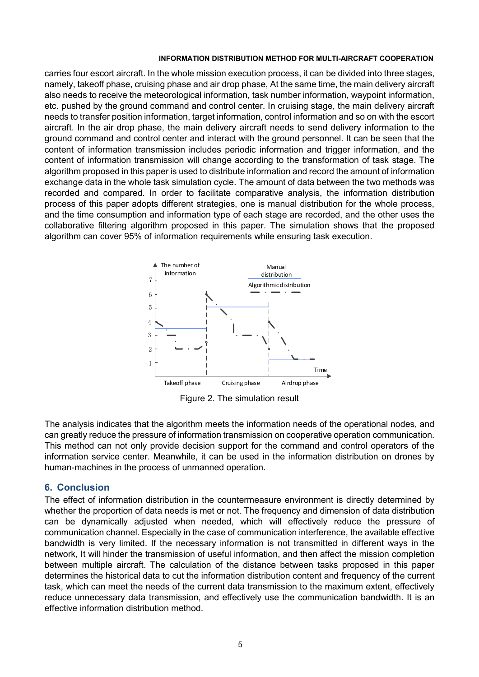carries four escort aircraft. In the whole mission execution process, it can be divided into three stages, namely, takeoff phase, cruising phase and air drop phase, At the same time, the main delivery aircraft also needs to receive the meteorological information, task number information, waypoint information, etc. pushed by the ground command and control center. In cruising stage, the main delivery aircraft needs to transfer position information, target information, control information and so on with the escort aircraft. In the air drop phase, the main delivery aircraft needs to send delivery information to the ground command and control center and interact with the ground personnel. It can be seen that the content of information transmission includes periodic information and trigger information, and the content of information transmission will change according to the transformation of task stage. The algorithm proposed in this paper is used to distribute information and record the amount of information exchange data in the whole task simulation cycle. The amount of data between the two methods was recorded and compared. In order to facilitate comparative analysis, the information distribution process of this paper adopts different strategies, one is manual distribution for the whole process, and the time consumption and information type of each stage are recorded, and the other uses the collaborative filtering algorithm proposed in this paper. The simulation shows that the proposed algorithm can cover 95% of information requirements while ensuring task execution.



Figure 2. The simulation result

The analysis indicates that the algorithm meets the information needs of the operational nodes, and can greatly reduce the pressure of information transmission on cooperative operation communication. This method can not only provide decision support for the command and control operators of the information service center. Meanwhile, it can be used in the information distribution on drones by human-machines in the process of unmanned operation.

## **6. Conclusion**

The effect of information distribution in the countermeasure environment is directly determined by whether the proportion of data needs is met or not. The frequency and dimension of data distribution can be dynamically adjusted when needed, which will effectively reduce the pressure of communication channel. Especially in the case of communication interference, the available effective bandwidth is very limited. If the necessary information is not transmitted in different ways in the network, It will hinder the transmission of useful information, and then affect the mission completion between multiple aircraft. The calculation of the distance between tasks proposed in this paper determines the historical data to cut the information distribution content and frequency of the current task, which can meet the needs of the current data transmission to the maximum extent, effectively reduce unnecessary data transmission, and effectively use the communication bandwidth. It is an effective information distribution method.